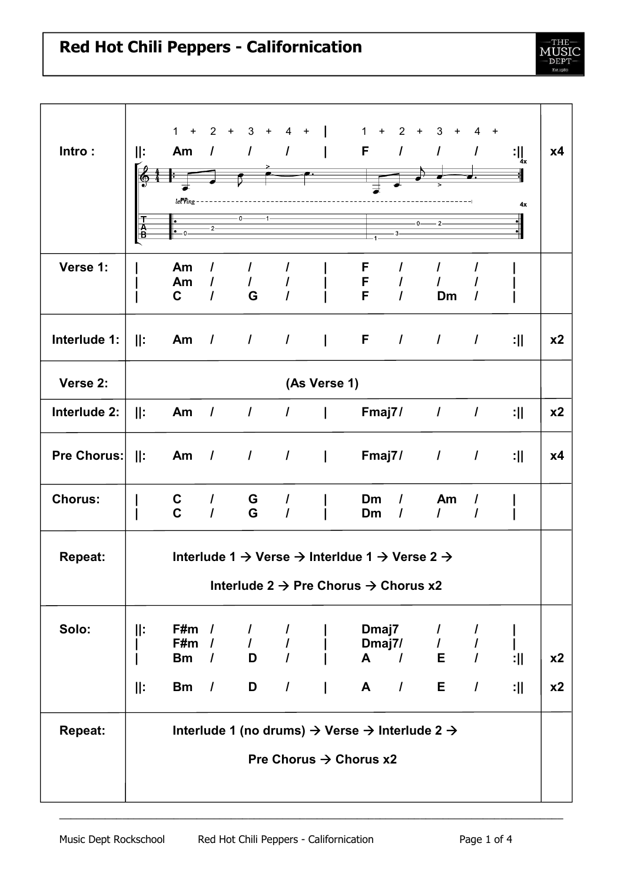| Intro:                                                           | ll:<br>T<br>A<br>B                                           | $1 +$<br>let <sup>n</sup> ing<br>0.                                                           | $2 +$                | 3 <sup>3</sup><br>$+$<br>Am $/$ $/$ $/$ | $4 +$                       |         | 1<br>$+$<br>F.                     | $2 +$<br>$\overline{1}$ | 3<br>$+$<br>$\prime$<br>$2 -$<br>$0 -$ | $4 +$<br>$\prime$ | $: \mathop{\bigcup}\limits_{4 \mathbf{x}}$<br>4x | x4             |
|------------------------------------------------------------------|--------------------------------------------------------------|-----------------------------------------------------------------------------------------------|----------------------|-----------------------------------------|-----------------------------|---------|------------------------------------|-------------------------|----------------------------------------|-------------------|--------------------------------------------------|----------------|
| Verse 1:                                                         |                                                              | Am<br>Am<br>C                                                                                 | $\prime$<br>$\prime$ | $\mathcal{L}$<br>G                      | I<br>I                      |         | F<br>F<br>F                        | $\prime$<br>$\prime$    | Dm                                     | $\prime$          |                                                  |                |
| Interlude 1:                                                     | :                                                            | Am                                                                                            |                      |                                         |                             |         |                                    |                         | $1$ $1$ $1$ $1$ $F$ $1$ $1$ $1$        |                   | :                                                | x <sub>2</sub> |
| Verse 2:                                                         | (As Verse 1)                                                 |                                                                                               |                      |                                         |                             |         |                                    |                         |                                        |                   |                                                  |                |
| Interlude 2:                                                     | :                                                            | Am                                                                                            | $\frac{1}{2}$        |                                         |                             |         | / /   Fmaj7/                       |                         | $\overline{I}$                         | $\prime$          | :11                                              | x <sub>2</sub> |
| Pre Chorus:                                                      | $\parallel$ :                                                | Am                                                                                            | $\overline{1}$       |                                         | $\frac{1}{2}$ $\frac{1}{2}$ | $\perp$ | Fmaj7/                             |                         | $\mathcal{L}$                          | $\prime$          | :11                                              | <b>x4</b>      |
| <b>Chorus:</b>                                                   |                                                              | C<br>$\mathbf{C}$                                                                             | $\prime$<br>$\prime$ | G<br>G                                  | $\prime$<br>$\prime$        |         | Dm<br>Dm                           | I<br>$\prime$           | Am<br>$\mathcal{L}$                    | I<br>$\prime$     |                                                  |                |
| <b>Repeat:</b>                                                   |                                                              | Interlude 1 $\rightarrow$ Verse $\rightarrow$ Interldue 1 $\rightarrow$ Verse 2 $\rightarrow$ |                      |                                         |                             |         |                                    |                         |                                        |                   |                                                  |                |
|                                                                  | Interlude 2 $\rightarrow$ Pre Chorus $\rightarrow$ Chorus x2 |                                                                                               |                      |                                         |                             |         |                                    |                         |                                        |                   |                                                  |                |
| Solo:                                                            | Ⅱ:                                                           | $F#m$ /<br>F#m<br><b>Bm</b>                                                                   |                      | $\mathcal{L}$                           | $\overline{I}$              |         | Dmaj7                              |                         | $\mathcal{L}$<br>Dmaj7/ / /<br>A / E / | $\overline{I}$    | L<br>:                                           | x2             |
|                                                                  | Ⅱ:                                                           | <b>Bm</b>                                                                                     | $\overline{1}$       |                                         |                             | D /   A |                                    |                         | $1$ E $1$                              |                   | :                                                | x2             |
| Interlude 1 (no drums) → Verse → Interlude 2 →<br><b>Repeat:</b> |                                                              |                                                                                               |                      |                                         |                             |         |                                    |                         |                                        |                   |                                                  |                |
|                                                                  |                                                              |                                                                                               |                      |                                         |                             |         | Pre Chorus $\rightarrow$ Chorus x2 |                         |                                        |                   |                                                  |                |

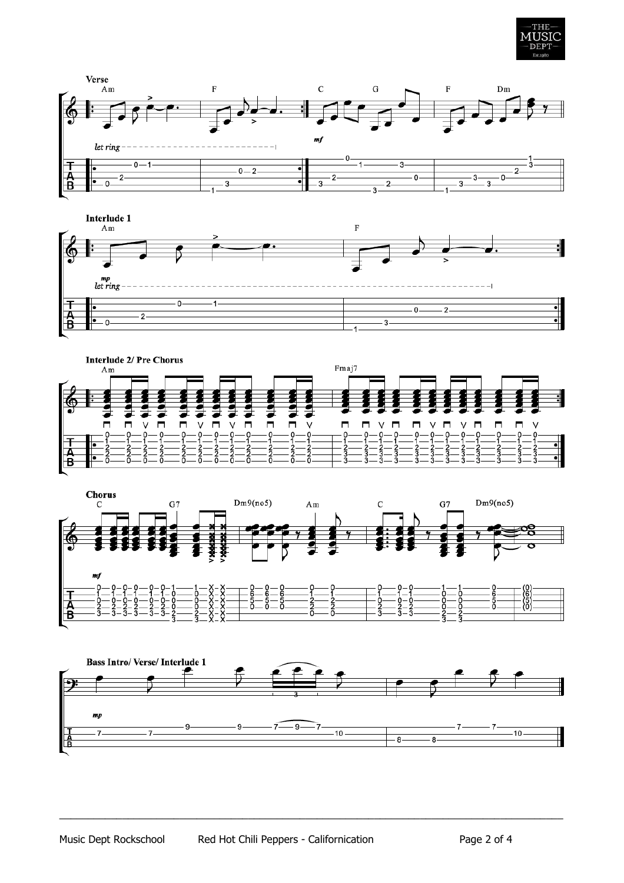









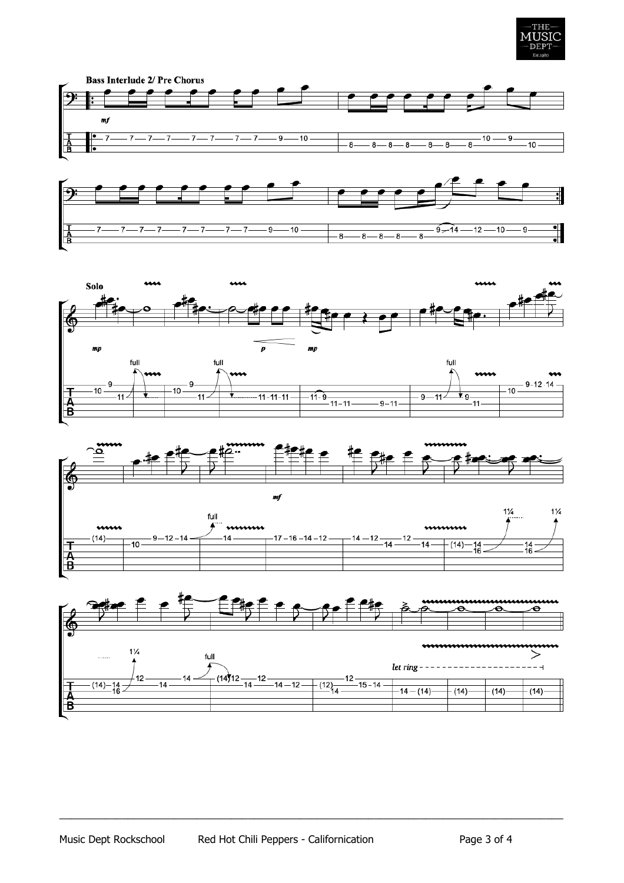